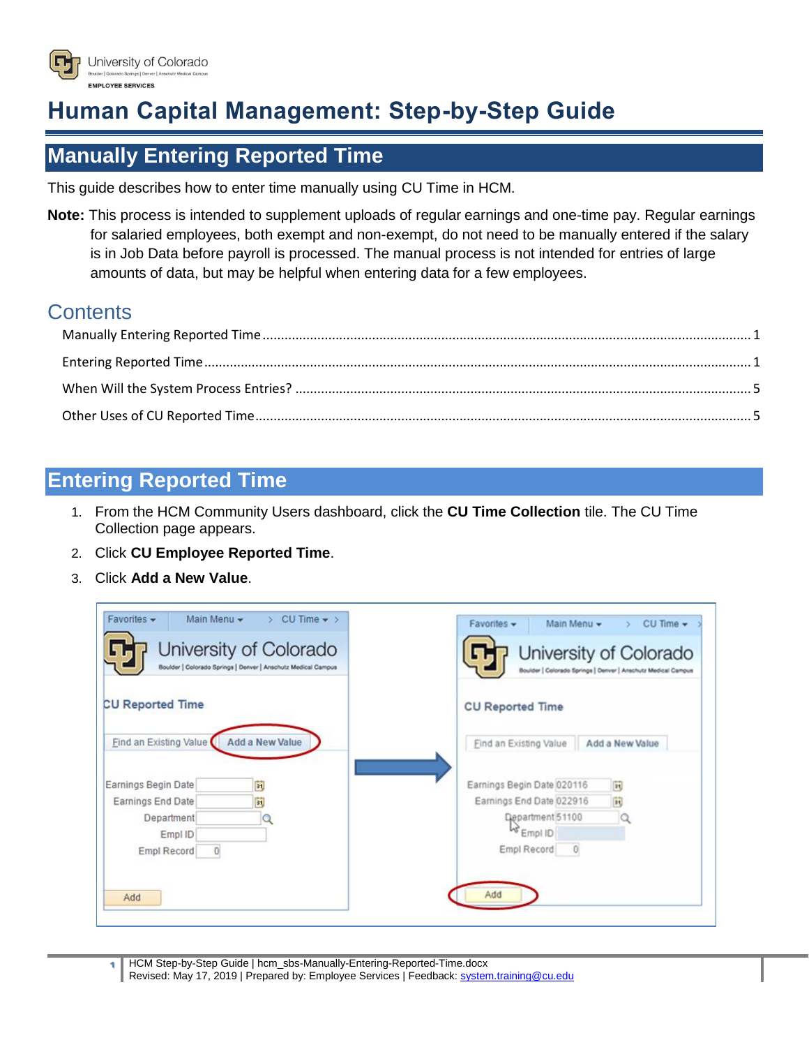

# **Human Capital Management: Step-by-Step Guide**

## <span id="page-0-0"></span>**Manually Entering Reported Time**

This guide describes how to enter time manually using CU Time in HCM.

**Note:** This process is intended to supplement uploads of [regular](https://www.cu.edu/sites/default/files/CU_Regular_Earnings_Uploads.pdf) earnings and [one-time pay.](https://www.cu.edu/sites/default/files/CU_One_Time_Pay_Uploads.pdf) Regular earnings for salaried employees, both exempt and non-exempt, do not need to be manually entered if the salary is in Job Data before payroll is processed. The manual process is not intended for entries of large amounts of data, but may be helpful when entering data for a few employees.

#### **Contents**

#### <span id="page-0-1"></span>**Entering Reported Time**

- 1. From the HCM Community Users dashboard, click the **CU Time Collection** tile. The CU Time Collection page appears.
- 2. Click **CU Employee Reported Time**.
- 3. Click **Add a New Value**.

| Favorites -<br>Main Menu -<br>CU Time $\bullet$ ><br>Y.<br>University of Colorado<br>Boulder   Colorado Springs   Denver   Anschutz Medical Campus | Favorites +<br>Main Menu -<br>$CU$ Time $\star$<br>University of Colorado<br>Boulder   Colorado Springs   Denver   Anschutz Medical Campus |
|----------------------------------------------------------------------------------------------------------------------------------------------------|--------------------------------------------------------------------------------------------------------------------------------------------|
| <b>CU Reported Time</b>                                                                                                                            | <b>CU Reported Time</b>                                                                                                                    |
| Find an Existing Value                                                                                                                             | Add a New Value                                                                                                                            |
| <b>Add a New Value</b>                                                                                                                             | Find an Existing Value                                                                                                                     |
| Earnings Begin Date                                                                                                                                | Earnings Begin Date 020116                                                                                                                 |
| 31,                                                                                                                                                | n                                                                                                                                          |
| 81,                                                                                                                                                | $\overline{\mathbf{H}}$                                                                                                                    |
| Earnings End Date                                                                                                                                  | Earnings End Date 022916                                                                                                                   |
| Department                                                                                                                                         | Department 51100                                                                                                                           |
| Empl ID                                                                                                                                            | <b>PA</b> EWDI ID                                                                                                                          |
| $\overline{0}$                                                                                                                                     | $\circ$                                                                                                                                    |
| Empl Record                                                                                                                                        | Empl Record                                                                                                                                |
| Add                                                                                                                                                | Add                                                                                                                                        |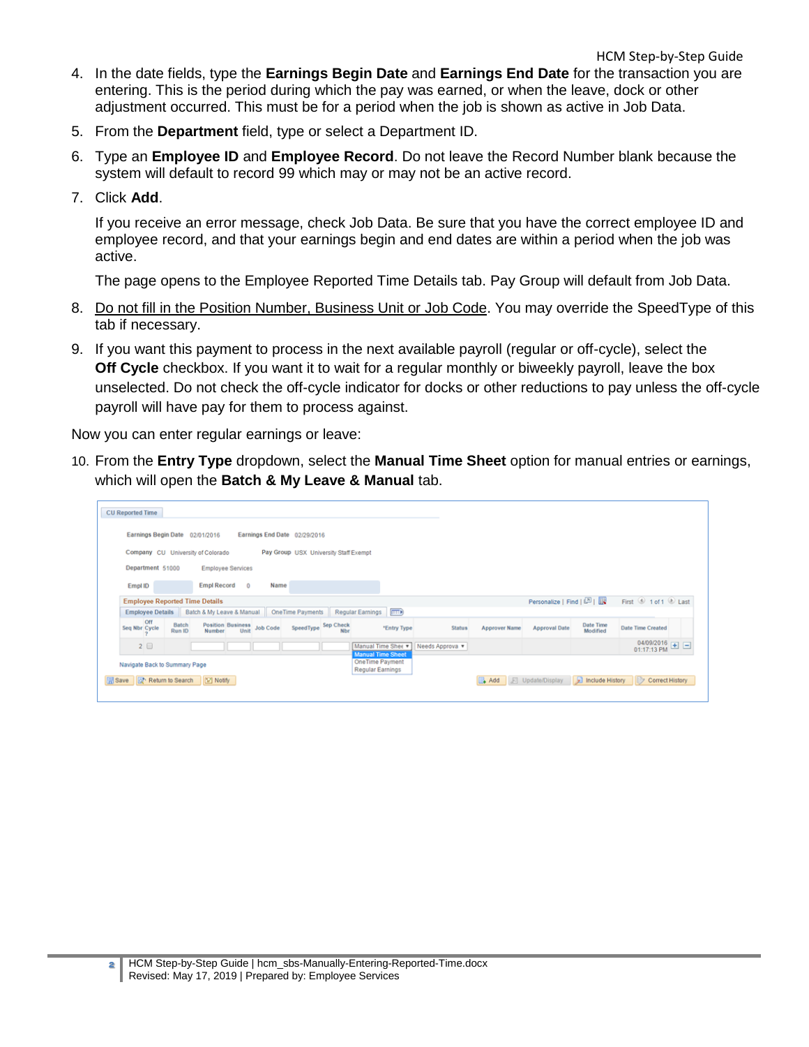- HCM Step-by-Step Guide 4. In the date fields, type the **Earnings Begin Date** and **Earnings End Date** for the transaction you are entering. This is the period during which the pay was earned, or when the leave, dock or other adjustment occurred. This must be for a period when the job is shown as active in Job Data.
- 5. From the **Department** field, type or select a Department ID.
- 6. Type an **Employee ID** and **Employee Record**. Do not leave the Record Number blank because the system will default to record 99 which may or may not be an active record.
- 7. Click **Add**.

If you receive an error message, check Job Data. Be sure that you have the correct employee ID and employee record, and that your earnings begin and end dates are within a period when the job was active.

The page opens to the Employee Reported Time Details tab. Pay Group will default from Job Data.

- 8. Do not fill in the Position Number, Business Unit or Job Code. You may override the SpeedType of this tab if necessary.
- 9. If you want this payment to process in the next available payroll (regular or off-cycle), select the **Off Cycle** checkbox. If you want it to wait for a regular monthly or biweekly payroll, leave the box unselected. Do not check the off-cycle indicator for docks or other reductions to pay unless the off-cycle payroll will have pay for them to process against.

Now you can enter regular earnings or leave:

10. From the **Entry Type** dropdown, select the **Manual Time Sheet** option for manual entries or earnings, which will open the **Batch & My Leave & Manual** tab.

| <b>CU Reported Time</b>                                                                                                          |                                                                   |                                                              |                        |                                             |
|----------------------------------------------------------------------------------------------------------------------------------|-------------------------------------------------------------------|--------------------------------------------------------------|------------------------|---------------------------------------------|
| Earnings Begin Date 02/01/2016<br>Earnings End Date 02/29/2016                                                                   |                                                                   |                                                              |                        |                                             |
| Company CU University of Colorado<br>Pay Group USX University Staff Exempt                                                       |                                                                   |                                                              |                        |                                             |
| Department 51000<br><b>Employee Services</b>                                                                                     |                                                                   |                                                              |                        |                                             |
| Empl Record 0<br>Name<br>Empl ID                                                                                                 |                                                                   |                                                              |                        |                                             |
| <b>Employee Reported Time Details</b>                                                                                            |                                                                   |                                                              | Personalize   Find   2 | First <sup>3</sup> 1 of 1 <sup>3</sup> Last |
| One Time Payments Regular Earnings (TTT)<br>Employee Details Batch & My Leave & Manual                                           |                                                                   |                                                              |                        |                                             |
| <b>Off</b><br>Batch<br>Position Business<br>Number Unit Job Code<br>SpeedType Sep Check<br>Seq Nbr Cycle<br>Run ID<br><b>Nbr</b> | <b>'Entry Type</b><br><b>Status</b>                               | <b>Approver Name</b><br><b>Approval Date</b>                 | Date Time<br>Modified  | <b>Date Time Created</b>                    |
| 2 <sup>0</sup>                                                                                                                   | Manual Time Shee v<br>Needs Approva v<br><b>Manual Time Sheet</b> |                                                              |                        | 04/09/2016 $\Box$ 01:17:13 PM               |
| Navigate Back to Summary Page                                                                                                    | OneTime Payment<br>Regular Earnings                               |                                                              |                        |                                             |
| Save & Return to Search E Notify                                                                                                 |                                                                   | Add   J Update/Display   D Include History   Correct History |                        |                                             |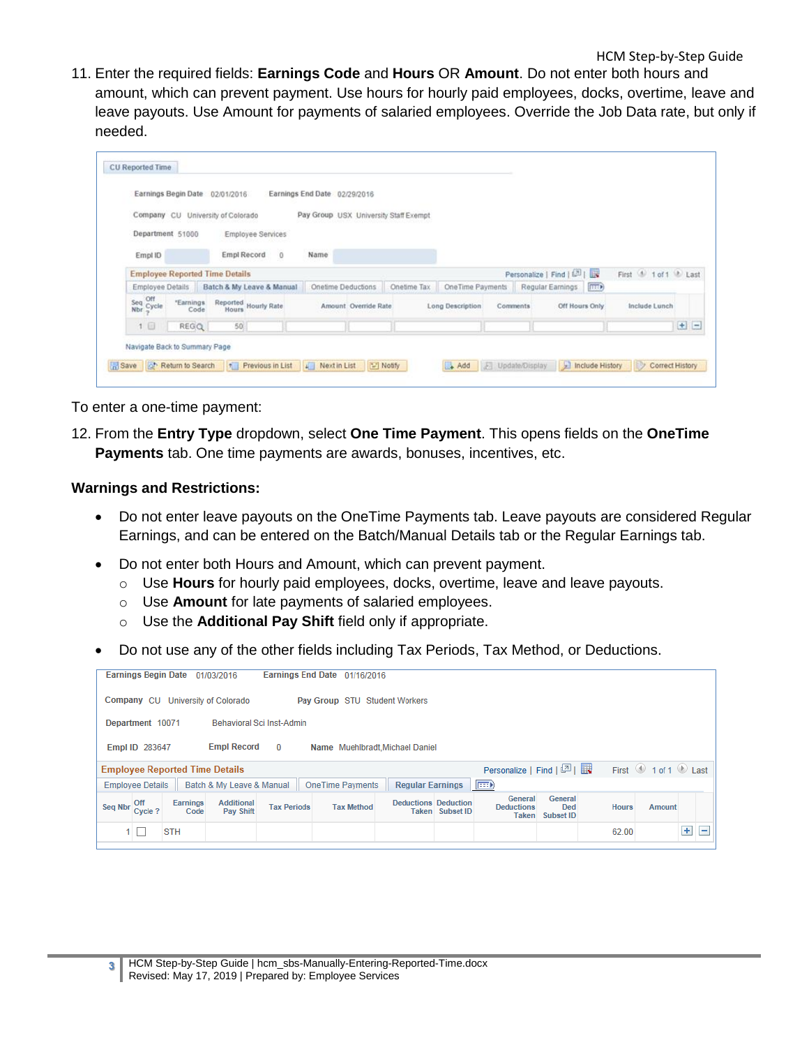11. Enter the required fields: **Earnings Code** and **Hours** OR **Amount**. Do not enter both hours and amount, which can prevent payment. Use hours for hourly paid employees, docks, overtime, leave and leave payouts. Use Amount for payments of salaried employees. Override the Job Data rate, but only if needed.

|                      | Earnings Begin Date 02/01/2016        |             |                                            | Earnings End Date 02/29/2016          |                      |             |                  |          |                          |       |                   |         |
|----------------------|---------------------------------------|-------------|--------------------------------------------|---------------------------------------|----------------------|-------------|------------------|----------|--------------------------|-------|-------------------|---------|
|                      | Company CU University of Colorado     |             |                                            | Pay Group USX University Staff Exempt |                      |             |                  |          |                          |       |                   |         |
|                      | Department 51000                      |             | Employee Services                          |                                       |                      |             |                  |          |                          |       |                   |         |
| Empl ID              |                                       | Empl Record | $\circ$                                    | Name                                  |                      |             |                  |          |                          |       |                   |         |
|                      | <b>Employee Reported Time Details</b> |             |                                            |                                       |                      |             |                  |          | Personalize   Find   [3] |       | First 1 of 1 Last |         |
|                      |                                       |             | Employee Details Batch & My Leave & Manual |                                       | Onetime Deductions   | Onetime Tax | OneTime Payments |          | Regular Earnings         | (EEE) |                   |         |
| Seq Off<br>Nbr Sycie | "Earnings<br>Code                     |             | Reported<br>Hours<br>Hours                 |                                       | Amount Override Rate |             | Long Description | Comments | Off Hours Only           |       | Include Lunch     |         |
| 1 <sup>1</sup>       | REGQ                                  | 50          |                                            |                                       |                      |             |                  |          |                          |       |                   | $+$ $-$ |

To enter a one-time payment:

12. From the **Entry Type** dropdown, select **One Time Payment**. This opens fields on the **OneTime Payments** tab. One time payments are awards, bonuses, incentives, etc.

#### **Warnings and Restrictions:**

- Do not enter leave payouts on the OneTime Payments tab. Leave payouts are considered Regular Earnings, and can be entered on the Batch/Manual Details tab or the Regular Earnings tab.
- Do not enter both Hours and Amount, which can prevent payment.
	- o Use **Hours** for hourly paid employees, docks, overtime, leave and leave payouts.
	- o Use **Amount** for late payments of salaried employees.
	- o Use the **Additional Pay Shift** field only if appropriate.
- Do not use any of the other fields including Tax Periods, Tax Method, or Deductions.

|         | <b>Earnings Begin Date</b>                                                                                     |                  | 01/03/2016                            |                    | Earnings End Date 01/16/2016    |                             |                        |                                       |                                    |              |        |     |   |
|---------|----------------------------------------------------------------------------------------------------------------|------------------|---------------------------------------|--------------------|---------------------------------|-----------------------------|------------------------|---------------------------------------|------------------------------------|--------------|--------|-----|---|
|         | University of Colorado<br>Company CU<br>Pay Group STU Student Workers                                          |                  |                                       |                    |                                 |                             |                        |                                       |                                    |              |        |     |   |
|         | Behavioral Sci Inst-Admin<br>Department 10071                                                                  |                  |                                       |                    |                                 |                             |                        |                                       |                                    |              |        |     |   |
|         | Empl ID 283647                                                                                                 |                  | <b>Empl Record</b>                    | $\Omega$           | Name Muehlbradt, Michael Daniel |                             |                        |                                       |                                    |              |        |     |   |
|         | Personalize   Find   2    <br>First $\bigcirc$ 1 of 1 $\bigcirc$ Last<br><b>Employee Reported Time Details</b> |                  |                                       |                    |                                 |                             |                        |                                       |                                    |              |        |     |   |
|         | $E = 0$<br>OneTime Payments<br>Batch & My Leave & Manual<br><b>Regular Earnings</b><br><b>Employee Details</b> |                  |                                       |                    |                                 |                             |                        |                                       |                                    |              |        |     |   |
| Sea Nbr | Off<br>Cycle?                                                                                                  | Earnings<br>Code | <b>Additional</b><br><b>Pay Shift</b> | <b>Tax Periods</b> | <b>Tax Method</b>               | <b>Deductions Deduction</b> | <b>Taken</b> Subset ID | General<br><b>Deductions</b><br>Taken | General<br><b>Ded</b><br>Subset ID | <b>Hours</b> | Amount |     |   |
|         | L                                                                                                              | <b>STH</b>       |                                       |                    |                                 |                             |                        |                                       |                                    | 62.00        |        | $+$ | - |
|         |                                                                                                                |                  |                                       |                    |                                 |                             |                        |                                       |                                    |              |        |     |   |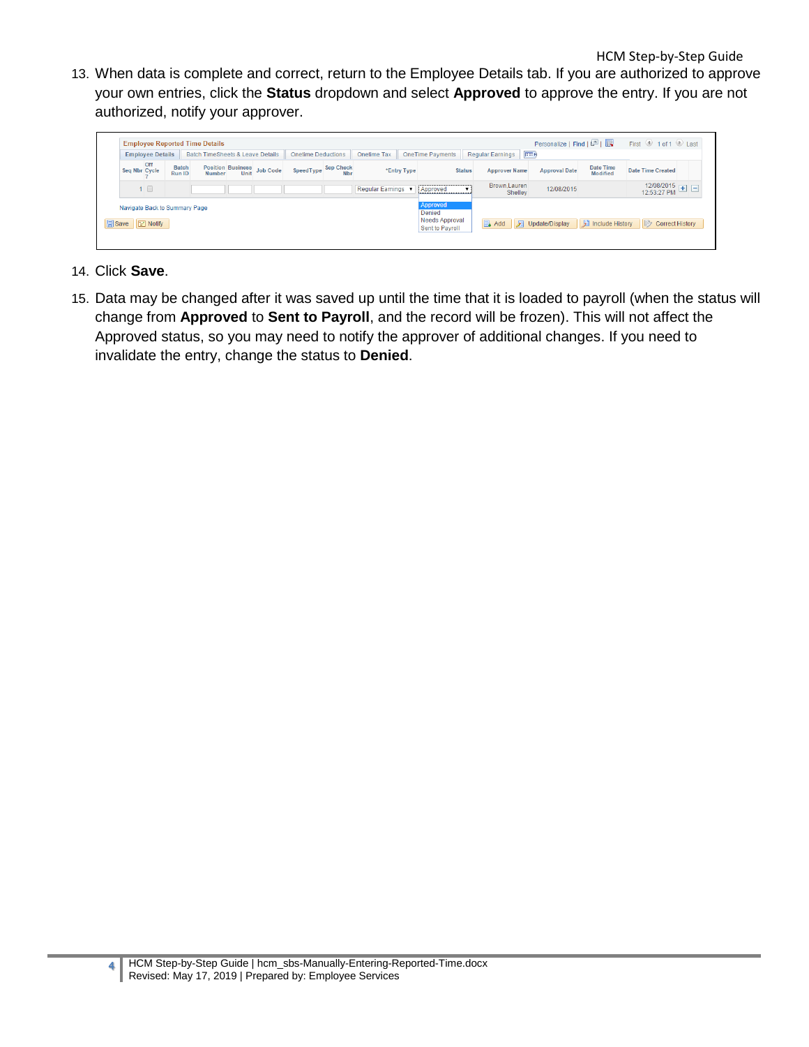13. When data is complete and correct, return to the Employee Details tab. If you are authorized to approve your own entries, click the **Status** dropdown and select **Approved** to approve the entry. If you are not authorized, notify your approver.



- 14. Click **Save**.
- 15. Data may be changed after it was saved up until the time that it is loaded to payroll (when the status will change from **Approved** to **Sent to Payroll**, and the record will be frozen). This will not affect the Approved status, so you may need to notify the approver of additional changes. If you need to invalidate the entry, change the status to **Denied**.